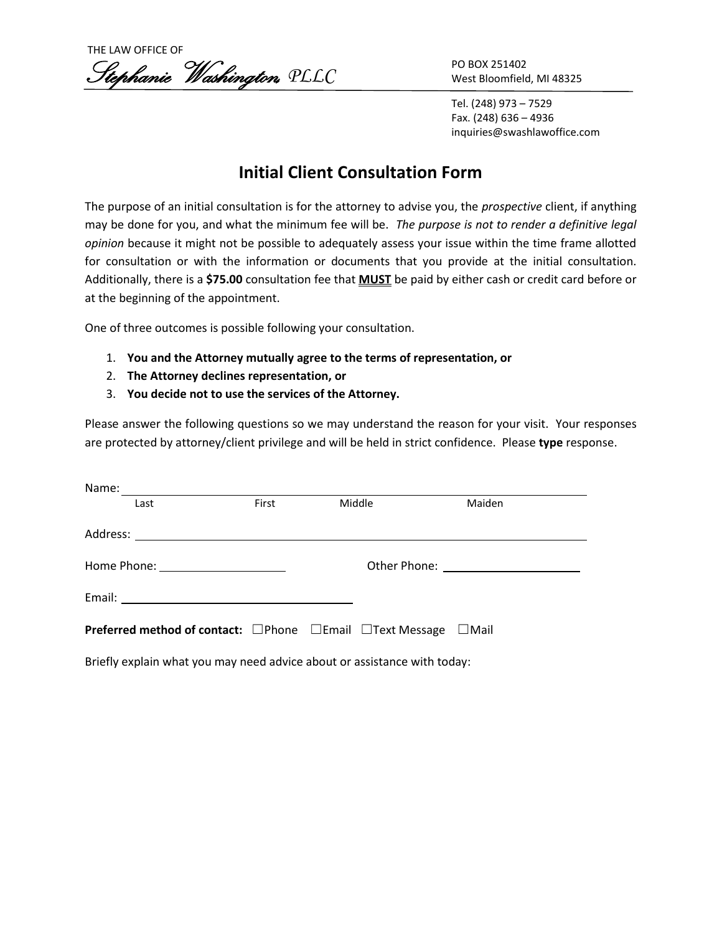THE LAW OFFICE OF Stephanie Washington, *PLLC*

PO BOX 251402 West Bloomfield, MI 48325

Tel. (248) 973 – 7529 Fax. (248) 636 – 4936 inquiries@swashlawoffice.com

## **Initial Client Consultation Form**

The purpose of an initial consultation is for the attorney to advise you, the *prospective* client, if anything may be done for you, and what the minimum fee will be. *The purpose is not to render a definitive legal opinion* because it might not be possible to adequately assess your issue within the time frame allotted for consultation or with the information or documents that you provide at the initial consultation. Additionally, there is a **\$75.00** consultation fee that **MUST** be paid by either cash or credit card before or at the beginning of the appointment.

One of three outcomes is possible following your consultation.

- 1. **You and the Attorney mutually agree to the terms of representation, or**
- 2. **The Attorney declines representation, or**
- 3. **You decide not to use the services of the Attorney.**

Please answer the following questions so we may understand the reason for your visit. Your responses are protected by attorney/client privilege and will be held in strict confidence. Please **type** response.

| Name:                                                                                         |       |  |        |        |  |  |
|-----------------------------------------------------------------------------------------------|-------|--|--------|--------|--|--|
| Last                                                                                          | First |  | Middle | Maiden |  |  |
|                                                                                               |       |  |        |        |  |  |
|                                                                                               |       |  |        |        |  |  |
|                                                                                               |       |  |        |        |  |  |
| <b>Preferred method of contact:</b> $\Box$ Phone $\Box$ Email $\Box$ Text Message $\Box$ Mail |       |  |        |        |  |  |
| Briefly explain what you may need advice about or assistance with today:                      |       |  |        |        |  |  |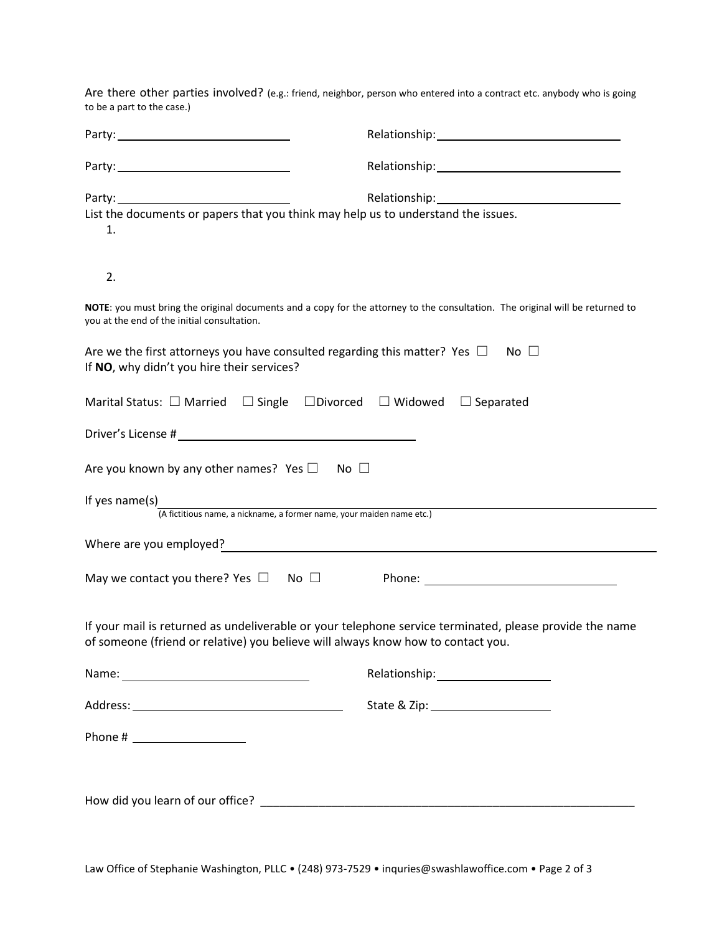Are there other parties involved? (e.g.: friend, neighbor, person who entered into a contract etc. anybody who is going to be a part to the case.)

| List the documents or papers that you think may help us to understand the issues.<br>1.                                                 |                                                                                                                                                                                                                               |
|-----------------------------------------------------------------------------------------------------------------------------------------|-------------------------------------------------------------------------------------------------------------------------------------------------------------------------------------------------------------------------------|
| 2.                                                                                                                                      |                                                                                                                                                                                                                               |
| you at the end of the initial consultation.                                                                                             | NOTE: you must bring the original documents and a copy for the attorney to the consultation. The original will be returned to                                                                                                 |
| Are we the first attorneys you have consulted regarding this matter? Yes $\Box$ No $\Box$<br>If NO, why didn't you hire their services? |                                                                                                                                                                                                                               |
| Marital Status: $\Box$ Married $\Box$ Single $\Box$ Divorced $\Box$ Widowed $\Box$ Separated                                            |                                                                                                                                                                                                                               |
|                                                                                                                                         |                                                                                                                                                                                                                               |
| Are you known by any other names? Yes $\square$ No $\square$                                                                            |                                                                                                                                                                                                                               |
| If yes name(s)<br> <br>(A fictitious name, a nickname, a former name, your maiden name etc.)                                            |                                                                                                                                                                                                                               |
| Where are you employed?<br><u> Where are you employed?</u>                                                                              |                                                                                                                                                                                                                               |
|                                                                                                                                         |                                                                                                                                                                                                                               |
| of someone (friend or relative) you believe will always know how to contact you.                                                        | If your mail is returned as undeliverable or your telephone service terminated, please provide the name                                                                                                                       |
|                                                                                                                                         | Relationship: The contract of the contract of the contract of the contract of the contract of the contract of the contract of the contract of the contract of the contract of the contract of the contract of the contract of |
|                                                                                                                                         |                                                                                                                                                                                                                               |
|                                                                                                                                         |                                                                                                                                                                                                                               |
|                                                                                                                                         |                                                                                                                                                                                                                               |
|                                                                                                                                         |                                                                                                                                                                                                                               |